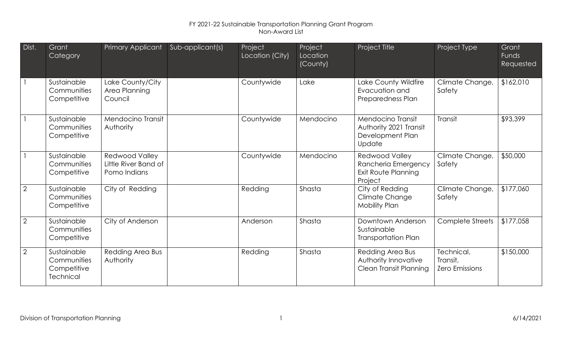| Dist.          | Grant<br>Category                                             | Primary Applicant                                      | Sub-applicant(s) | Project<br>Location (City) | Project<br>Location<br>(County) | Project Title                                                                  | Project Type                                    | Grant<br><b>Funds</b><br>Requested |
|----------------|---------------------------------------------------------------|--------------------------------------------------------|------------------|----------------------------|---------------------------------|--------------------------------------------------------------------------------|-------------------------------------------------|------------------------------------|
|                | Sustainable<br>Communities<br>Competitive                     | Lake County/City<br>Area Planning<br>Council           |                  | Countywide                 | Lake                            | Lake County Wildfire<br>Evacuation and<br>Preparedness Plan                    | Climate Change,<br>Safety                       | \$162,010                          |
|                | Sustainable<br>Communities<br>Competitive                     | Mendocino Transit<br>Authority                         |                  | Countywide                 | Mendocino                       | Mendocino Transit<br>Authority 2021 Transit<br>Development Plan<br>Update      | <b>Transit</b>                                  | \$93,399                           |
|                | Sustainable<br>Communities<br>Competitive                     | Redwood Valley<br>Little River Band of<br>Pomo Indians |                  | Countywide                 | Mendocino                       | <b>Redwood Valley</b><br>Rancheria Emergency<br>Exit Route Planning<br>Project | Climate Change,<br>Safety                       | \$50,000                           |
| $\overline{2}$ | Sustainable<br>Communities<br>Competitive                     | City of Redding                                        |                  | Redding                    | Shasta                          | City of Redding<br><b>Climate Change</b><br><b>Mobility Plan</b>               | Climate Change,<br>Safety                       | \$177,060                          |
| $\overline{2}$ | Sustainable<br>Communities<br>Competitive                     | City of Anderson                                       |                  | Anderson                   | Shasta                          | Downtown Anderson<br>Sustainable<br><b>Transportation Plan</b>                 | Complete Streets                                | \$177,058                          |
| $\overline{2}$ | Sustainable<br>Communities<br>Competitive<br><b>Technical</b> | Redding Area Bus<br>Authority                          |                  | Redding                    | Shasta                          | Redding Area Bus<br>Authority Innovative<br>Clean Transit Planning             | Technical,<br>Transit,<br><b>Zero Emissions</b> | \$150,000                          |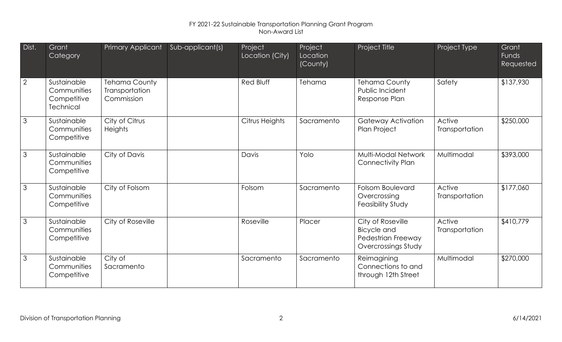| Dist.          | Grant<br>Category                                             | Primary Applicant                                    | Sub-applicant(s) | Project<br>Location (City) | Project<br>Location<br>(County) | Project Title                                                                 | Project Type             | Grant<br>Funds<br>Requested |
|----------------|---------------------------------------------------------------|------------------------------------------------------|------------------|----------------------------|---------------------------------|-------------------------------------------------------------------------------|--------------------------|-----------------------------|
| $\overline{2}$ | Sustainable<br>Communities<br>Competitive<br><b>Technical</b> | <b>Tehama County</b><br>Transportation<br>Commission |                  | Red Bluff                  | Tehama                          | <b>Tehama County</b><br>Public Incident<br>Response Plan                      | Safety                   | \$137,930                   |
| 3              | Sustainable<br>Communities<br>Competitive                     | City of Citrus<br><b>Heights</b>                     |                  | Citrus Heights             | Sacramento                      | Gateway Activation<br>Plan Project                                            | Active<br>Transportation | \$250,000                   |
| 3              | Sustainable<br>Communities<br>Competitive                     | City of Davis                                        |                  | Davis                      | Yolo                            | <b>Multi-Modal Network</b><br><b>Connectivity Plan</b>                        | Multimodal               | \$393,000                   |
| 3              | Sustainable<br>Communities<br>Competitive                     | City of Folsom                                       |                  | Folsom                     | Sacramento                      | <b>Folsom Boulevard</b><br>Overcrossing<br>Feasibility Study                  | Active<br>Transportation | \$177,060                   |
| 3              | Sustainable<br>Communities<br>Competitive                     | City of Roseville                                    |                  | Roseville                  | Placer                          | City of Roseville<br>Bicycle and<br>Pedestrian Freeway<br>Overcrossings Study | Active<br>Transportation | \$410,779                   |
| $\mathfrak{Z}$ | Sustainable<br>Communities<br>Competitive                     | City of<br>Sacramento                                |                  | Sacramento                 | Sacramento                      | Reimagining<br>Connections to and<br>through 12th Street                      | Multimodal               | \$270,000                   |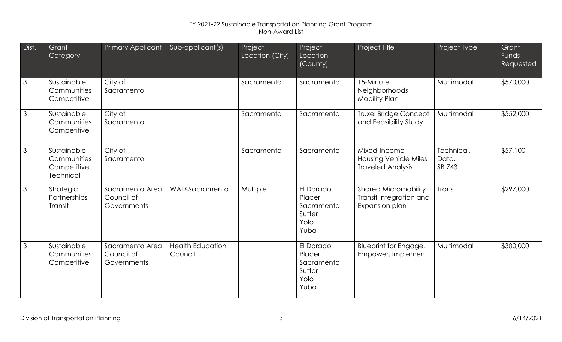| Dist.          | Grant<br>Category                                             | Primary Applicant                            | Sub-applicant(s)                   | Project<br>Location (City) | Project<br>Location<br>(County)                             | Project Title                                                            | Project Type                  | Grant<br>Funds<br>Requested |
|----------------|---------------------------------------------------------------|----------------------------------------------|------------------------------------|----------------------------|-------------------------------------------------------------|--------------------------------------------------------------------------|-------------------------------|-----------------------------|
| $\mathcal{S}$  | Sustainable<br>Communities<br>Competitive                     | City of<br>Sacramento                        |                                    | Sacramento                 | Sacramento                                                  | 15-Minute<br>Neighborhoods<br><b>Mobility Plan</b>                       | Multimodal                    | \$570,000                   |
| $\mathcal{S}$  | Sustainable<br>Communities<br>Competitive                     | City of<br>Sacramento                        |                                    | Sacramento                 | Sacramento                                                  | <b>Truxel Bridge Concept</b><br>and Feasibility Study                    | Multimodal                    | \$552,000                   |
| $\overline{3}$ | Sustainable<br>Communities<br>Competitive<br><b>Technical</b> | City of<br>Sacramento                        |                                    | Sacramento                 | Sacramento                                                  | Mixed-Income<br><b>Housing Vehicle Miles</b><br><b>Traveled Analysis</b> | Technical,<br>Data,<br>SB 743 | \$57,100                    |
| $\mathcal{S}$  | Strategic<br>Partnerships<br>Transit                          | Sacramento Area<br>Council of<br>Governments | WALKSacramento                     | Multiple                   | El Dorado<br>Placer<br>Sacramento<br>Sutter<br>Yolo<br>Yuba | <b>Shared Micromobility</b><br>Transit Integration and<br>Expansion plan | Transit                       | \$297,000                   |
| $\mathcal{S}$  | Sustainable<br>Communities<br>Competitive                     | Sacramento Area<br>Council of<br>Governments | <b>Health Education</b><br>Council |                            | El Dorado<br>Placer<br>Sacramento<br>Sutter<br>Yolo<br>Yuba | Blueprint for Engage,<br>Empower, Implement                              | Multimodal                    | \$300,000                   |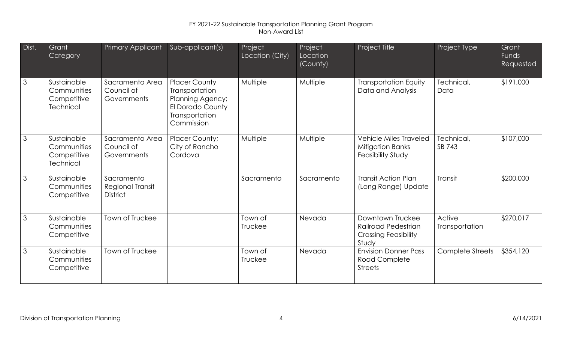| Dist.          | Grant<br>Category                                             | Primary Applicant                                   | Sub-applicant(s)                                                                                                      | Project<br>Location (City) | Project<br>Location<br>(County) | Project Title                                                                   | Project Type             | Grant<br><b>Funds</b><br>Requested |
|----------------|---------------------------------------------------------------|-----------------------------------------------------|-----------------------------------------------------------------------------------------------------------------------|----------------------------|---------------------------------|---------------------------------------------------------------------------------|--------------------------|------------------------------------|
| $\mathcal{S}$  | Sustainable<br>Communities<br>Competitive<br>Technical        | Sacramento Area<br>Council of<br>Governments        | <b>Placer County</b><br>Transportation<br><b>Planning Agency;</b><br>El Dorado County<br>Transportation<br>Commission | Multiple                   | Multiple                        | <b>Transportation Equity</b><br>Data and Analysis                               | Technical,<br>Data       | \$191,000                          |
| $\mathbf{3}$   | Sustainable<br>Communities<br>Competitive<br><b>Technical</b> | Sacramento Area<br>Council of<br><b>Governments</b> | <b>Placer County;</b><br>City of Rancho<br>Cordova                                                                    | Multiple                   | Multiple                        | <b>Vehicle Miles Traveled</b><br>Mitigation Banks<br><b>Feasibility Study</b>   | Technical,<br>SB 743     | \$107,000                          |
| $\overline{3}$ | Sustainable<br>Communities<br>Competitive                     | Sacramento<br>Regional Transit<br><b>District</b>   |                                                                                                                       | Sacramento                 | Sacramento                      | <b>Transit Action Plan</b><br>(Long Range) Update                               | <b>Transit</b>           | \$200,000                          |
| $\mathcal{S}$  | Sustainable<br>Communities<br>Competitive                     | <b>Town of Truckee</b>                              |                                                                                                                       | Town of<br>Truckee         | Nevada                          | Downtown Truckee<br>Railroad Pedestrian<br><b>Crossing Feasibility</b><br>Study | Active<br>Transportation | \$270,017                          |
| $\mathcal{S}$  | Sustainable<br>Communities<br>Competitive                     | Town of Truckee                                     |                                                                                                                       | Town of<br>Truckee         | Nevada                          | <b>Envision Donner Pass</b><br><b>Road Complete</b><br><b>Streets</b>           | <b>Complete Streets</b>  | \$354,120                          |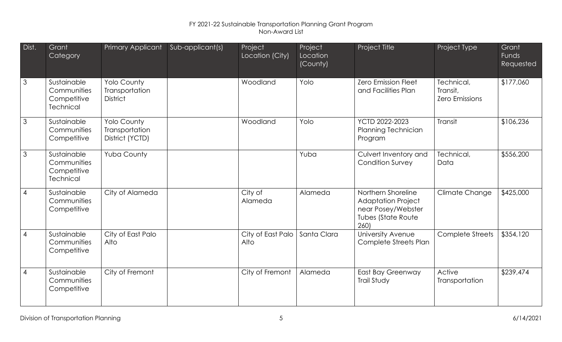| Dist.          | Grant<br>Category                                             | Primary Applicant                                       | Sub-applicant(s) | Project<br>Location (City) | Project<br>Location<br>(County) | Project Title                                                                                      | Project Type                                    | Grant<br>Funds<br>Requested |
|----------------|---------------------------------------------------------------|---------------------------------------------------------|------------------|----------------------------|---------------------------------|----------------------------------------------------------------------------------------------------|-------------------------------------------------|-----------------------------|
| 3              | Sustainable<br>Communities<br>Competitive<br><b>Technical</b> | Yolo County<br>Transportation<br><b>District</b>        |                  | Woodland                   | Yolo                            | <b>Zero Emission Fleet</b><br>and Facilities Plan                                                  | Technical,<br>Transit,<br><b>Zero Emissions</b> | \$177,060                   |
| 3              | Sustainable<br>Communities<br>Competitive                     | <b>Yolo County</b><br>Transportation<br>District (YCTD) |                  | Woodland                   | Yolo                            | YCTD 2022-2023<br>Planning Technician<br>Program                                                   | Transit                                         | \$106,236                   |
| 3              | Sustainable<br>Communities<br>Competitive<br><b>Technical</b> | Yuba County                                             |                  |                            | Yuba                            | Culvert Inventory and<br><b>Condition Survey</b>                                                   | Technical,<br>Data                              | \$556,200                   |
| $\overline{4}$ | Sustainable<br>Communities<br>Competitive                     | City of Alameda                                         |                  | City of<br>Alameda         | Alameda                         | Northern Shoreline<br><b>Adaptation Project</b><br>near Posey/Webster<br>Tubes (State Route<br>260 | Climate Change                                  | \$425,000                   |
| $\overline{4}$ | Sustainable<br>Communities<br>Competitive                     | City of East Palo<br>Alto                               |                  | City of East Palo<br>Alto  | Santa Clara                     | University Avenue<br><b>Complete Streets Plan</b>                                                  | <b>Complete Streets</b>                         | \$354,120                   |
| $\overline{4}$ | Sustainable<br>Communities<br>Competitive                     | City of Fremont                                         |                  | City of Fremont            | Alameda                         | East Bay Greenway<br><b>Trail Study</b>                                                            | Active<br>Transportation                        | \$239,474                   |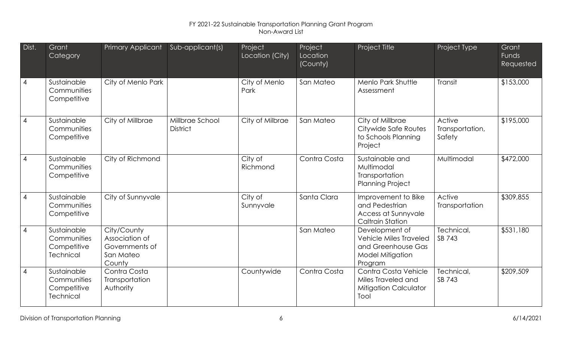| Dist.          | Grant<br>Category                                             | <b>Primary Applicant</b>                                               | Sub-applicant(s)                   | Project<br>Location (City) | Project<br>Location<br>(County) | Project Title                                                                                        | Project Type                        | Grant<br>Funds<br>Requested |
|----------------|---------------------------------------------------------------|------------------------------------------------------------------------|------------------------------------|----------------------------|---------------------------------|------------------------------------------------------------------------------------------------------|-------------------------------------|-----------------------------|
| $\overline{4}$ | Sustainable<br>Communities<br>Competitive                     | City of Menlo Park                                                     |                                    | City of Menlo<br>Park      | San Mateo                       | Menlo Park Shuttle<br>Assessment                                                                     | Transit                             | \$153,000                   |
| $\overline{4}$ | Sustainable<br><b>Communities</b><br>Competitive              | City of Millbrae                                                       | Millbrae School<br><b>District</b> | City of Milbrae            | San Mateo                       | City of Millbrae<br>Citywide Safe Routes<br>to Schools Planning<br>Project                           | Active<br>Transportation,<br>Safety | \$195,000                   |
| $\overline{4}$ | Sustainable<br>Communities<br>Competitive                     | City of Richmond                                                       |                                    | City of<br>Richmond        | Contra Costa                    | Sustainable and<br>Multimodal<br>Transportation<br><b>Planning Project</b>                           | Multimodal                          | \$472,000                   |
| $\overline{4}$ | Sustainable<br>Communities<br>Competitive                     | City of Sunnyvale                                                      |                                    | City of<br>Sunnyvale       | Santa Clara                     | Improvement to Bike<br>and Pedestrian<br>Access at Sunnyvale<br><b>Caltrain Station</b>              | Active<br>Transportation            | \$309,855                   |
| $\overline{4}$ | Sustainable<br>Communities<br>Competitive<br><b>Technical</b> | City/County<br>Association of<br>Governments of<br>San Mateo<br>County |                                    |                            | San Mateo                       | Development of<br><b>Vehicle Miles Traveled</b><br>and Greenhouse Gas<br>Model Mitigation<br>Program | Technical,<br>SB 743                | \$531,180                   |
| $\overline{4}$ | Sustainable<br>Communities<br>Competitive<br><b>Technical</b> | Contra Costa<br>Transportation<br>Authority                            |                                    | Countywide                 | Contra Costa                    | Contra Costa Vehicle<br>Miles Traveled and<br><b>Mitigation Calculator</b><br>Tool                   | Technical,<br>SB 743                | \$209,509                   |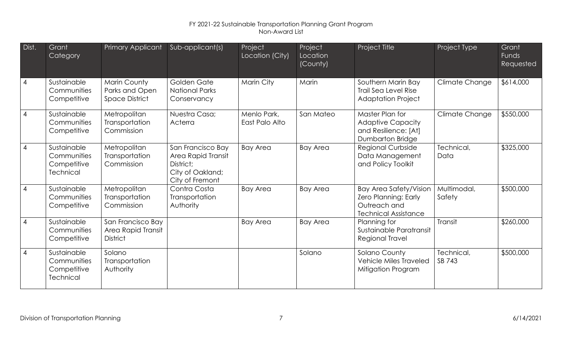| Dist.          | Grant<br>Category                                             | Primary Applicant                                              | Sub-applicant(s)                                                                            | Project<br>Location (City)    | Project<br>Location<br>(County) | Project Title                                                                                        | Project Type          | Grant<br>Funds<br>Requested |
|----------------|---------------------------------------------------------------|----------------------------------------------------------------|---------------------------------------------------------------------------------------------|-------------------------------|---------------------------------|------------------------------------------------------------------------------------------------------|-----------------------|-----------------------------|
| $\overline{4}$ | Sustainable<br>Communities<br>Competitive                     | <b>Marin County</b><br>Parks and Open<br><b>Space District</b> | Golden Gate<br><b>National Parks</b><br>Conservancy                                         | Marin City                    | Marin                           | Southern Marin Bay<br><b>Trail Sea Level Rise</b><br><b>Adaptation Project</b>                       | Climate Change        | \$614,000                   |
| $\overline{4}$ | Sustainable<br>Communities<br>Competitive                     | Metropolitan<br>Transportation<br>Commission                   | Nuestra Casa;<br>Acterra                                                                    | Menlo Park,<br>East Palo Alto | San Mateo                       | Master Plan for<br><b>Adaptive Capacity</b><br>and Resilience: [At]<br>Dumbarton Bridge              | Climate Change        | \$550,000                   |
| $\overline{4}$ | Sustainable<br>Communities<br>Competitive<br><b>Technical</b> | Metropolitan<br>Transportation<br>Commission                   | San Francisco Bay<br>Area Rapid Transit<br>District;<br>City of Oakland;<br>City of Fremont | <b>Bay Area</b>               | <b>Bay Area</b>                 | <b>Regional Curbside</b><br>Data Management<br>and Policy Toolkit                                    | Technical,<br>Data    | \$325,000                   |
| $\overline{4}$ | Sustainable<br>Communities<br>Competitive                     | Metropolitan<br>Transportation<br>Commission                   | Contra Costa<br>Transportation<br>Authority                                                 | <b>Bay Area</b>               | <b>Bay Area</b>                 | <b>Bay Area Safety/Vision</b><br>Zero Planning: Early<br>Outreach and<br><b>Technical Assistance</b> | Multimodal,<br>Safety | \$500,000                   |
| $\overline{4}$ | Sustainable<br>Communities<br>Competitive                     | San Francisco Bay<br>Area Rapid Transit<br><b>District</b>     |                                                                                             | <b>Bay Area</b>               | <b>Bay Area</b>                 | Planning for<br>Sustainable Paratransit<br><b>Regional Travel</b>                                    | <b>Transit</b>        | \$260,000                   |
| $\overline{4}$ | Sustainable<br>Communities<br>Competitive<br><b>Technical</b> | Solano<br>Transportation<br>Authority                          |                                                                                             |                               | Solano                          | Solano County<br><b>Vehicle Miles Traveled</b><br>Mitigation Program                                 | Technical,<br>SB 743  | \$500,000                   |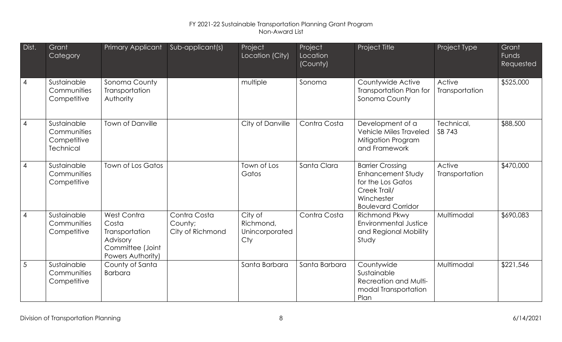| Dist.          | Grant<br>Category                                             | Primary Applicant                                                                           | Sub-applicant(s)                            | Project<br>Location (City)                    | Project<br>Location<br>(County) | Project Title                                                                                                                | Project Type             | Grant<br>Funds<br>Requested |
|----------------|---------------------------------------------------------------|---------------------------------------------------------------------------------------------|---------------------------------------------|-----------------------------------------------|---------------------------------|------------------------------------------------------------------------------------------------------------------------------|--------------------------|-----------------------------|
| $\overline{4}$ | Sustainable<br>Communities<br>Competitive                     | Sonoma County<br>Transportation<br>Authority                                                |                                             | multiple                                      | Sonoma                          | Countywide Active<br>Transportation Plan for<br>Sonoma County                                                                | Active<br>Transportation | \$525,000                   |
| $\overline{4}$ | Sustainable<br>Communities<br>Competitive<br><b>Technical</b> | <b>Town of Danville</b>                                                                     |                                             | City of Danville                              | Contra Costa                    | Development of a<br><b>Vehicle Miles Traveled</b><br>Mitigation Program<br>and Framework                                     | Technical,<br>SB 743     | \$88,500                    |
| $\overline{4}$ | Sustainable<br>Communities<br>Competitive                     | Town of Los Gatos                                                                           |                                             | Town of Los<br>Gatos                          | Santa Clara                     | <b>Barrier Crossing</b><br>Enhancement Study<br>for the Los Gatos<br>Creek Trail/<br>Winchester<br><b>Boulevard Corridor</b> | Active<br>Transportation | \$470,000                   |
| $\overline{4}$ | Sustainable<br>Communities<br>Competitive                     | West Contra<br>Costa<br>Transportation<br>Advisory<br>Committee (Joint<br>Powers Authority) | Contra Costa<br>County;<br>City of Richmond | City of<br>Richmond,<br>Unincorporated<br>Cty | Contra Costa                    | Richmond Pkwy<br><b>Environmental Justice</b><br>and Regional Mobility<br>Study                                              | Multimodal               | \$690,083                   |
| $\overline{5}$ | Sustainable<br>Communities<br>Competitive                     | County of Santa<br><b>Barbara</b>                                                           |                                             | Santa Barbara                                 | Santa Barbara                   | Countywide<br>Sustainable<br>Recreation and Multi-<br>modal Transportation<br>Plan                                           | Multimodal               | \$221,546                   |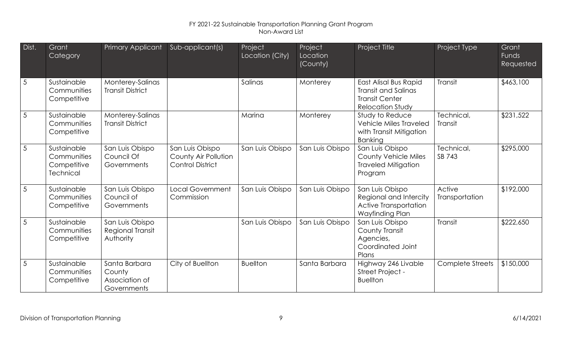| Dist.           | Grant<br>Category                                             | Primary Applicant                                        | Sub-applicant(s)                                                   | Project<br>Location (City) | Project<br>Location<br>(County) | Project Title                                                                                    | Project Type             | Grant<br><b>Funds</b><br><b>Requested</b> |
|-----------------|---------------------------------------------------------------|----------------------------------------------------------|--------------------------------------------------------------------|----------------------------|---------------------------------|--------------------------------------------------------------------------------------------------|--------------------------|-------------------------------------------|
| $\overline{5}$  | Sustainable<br>Communities<br>Competitive                     | Monterey-Salinas<br><b>Transit District</b>              |                                                                    | Salinas                    | Monterey                        | East Alisal Bus Rapid<br>Transit and Salinas<br><b>Transit Center</b><br><b>Relocation Study</b> | Transit                  | \$463,100                                 |
| $5\overline{5}$ | Sustainable<br>Communities<br>Competitive                     | Monterey-Salinas<br><b>Transit District</b>              |                                                                    | Marina                     | Monterey                        | Study to Reduce<br><b>Vehicle Miles Traveled</b><br>with Transit Mitigation<br><b>Banking</b>    | Technical,<br>Transit    | \$231,522                                 |
| $5\phantom{.0}$ | Sustainable<br>Communities<br>Competitive<br><b>Technical</b> | San Luis Obispo<br>Council Of<br>Governments             | San Luis Obispo<br>County Air Pollution<br><b>Control District</b> | San Luis Obispo            | San Luis Obispo                 | San Luis Obispo<br><b>County Vehicle Miles</b><br><b>Traveled Mitigation</b><br>Program          | Technical,<br>SB 743     | \$295,000                                 |
| $5\overline{5}$ | Sustainable<br>Communities<br>Competitive                     | San Luis Obispo<br>Council of<br>Governments             | <b>Local Government</b><br>Commission                              | San Luis Obispo            | San Luis Obispo                 | San Luis Obispo<br>Regional and Intercity<br>Active Transportation<br>Wayfinding Plan            | Active<br>Transportation | \$192,000                                 |
| $5\overline{5}$ | Sustainable<br>Communities<br>Competitive                     | San Luis Obispo<br>Regional Transit<br>Authority         |                                                                    | San Luis Obispo            | San Luis Obispo                 | San Luis Obispo<br>County Transit<br>Agencies,<br>Coordinated Joint<br>Plans                     | <b>Transit</b>           | \$222,650                                 |
| $5\phantom{.0}$ | Sustainable<br>Communities<br>Competitive                     | Santa Barbara<br>County<br>Association of<br>Governments | City of Buellton                                                   | <b>Buellton</b>            | Santa Barbara                   | Highway 246 Livable<br>Street Project -<br><b>Buellton</b>                                       | Complete Streets         | \$150,000                                 |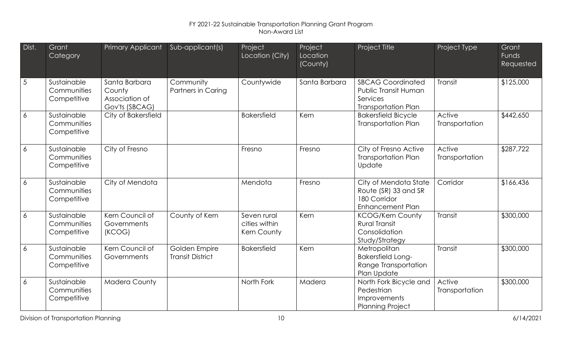| Dist.            | Grant<br>Category                         | <b>Primary Applicant</b>                                    | Sub-applicant(s)                         | Project<br>Location (City)                  | Project<br>Location<br>(County) | Project Title                                                                              | Project Type             | Grant<br>Funds<br>Requested |
|------------------|-------------------------------------------|-------------------------------------------------------------|------------------------------------------|---------------------------------------------|---------------------------------|--------------------------------------------------------------------------------------------|--------------------------|-----------------------------|
| 5                | Sustainable<br>Communities<br>Competitive | Santa Barbara<br>County<br>Association of<br>Gov'ts (SBCAG) | Community<br>Partners in Caring          | Countywide                                  | Santa Barbara                   | <b>SBCAG Coordinated</b><br>Public Transit Human<br>Services<br><b>Transportation Plan</b> | <b>Transit</b>           | \$125,000                   |
| $\overline{6}$   | Sustainable<br>Communities<br>Competitive | City of Bakersfield                                         |                                          | <b>Bakersfield</b>                          | Kern                            | <b>Bakersfield Bicycle</b><br><b>Transportation Plan</b>                                   | Active<br>Transportation | \$442,650                   |
| $\boldsymbol{6}$ | Sustainable<br>Communities<br>Competitive | City of Fresno                                              |                                          | Fresno                                      | Fresno                          | City of Fresno Active<br><b>Transportation Plan</b><br>Update                              | Active<br>Transportation | \$287,722                   |
| $\overline{6}$   | Sustainable<br>Communities<br>Competitive | City of Mendota                                             |                                          | Mendota                                     | Fresno                          | City of Mendota State<br>Route (SR) 33 and SR<br>180 Corridor<br><b>Enhancement Plan</b>   | Corridor                 | \$166,436                   |
| $\boldsymbol{6}$ | Sustainable<br>Communities<br>Competitive | Kern Council of<br>Governments<br>(KCOG)                    | County of Kern                           | Seven rural<br>cities within<br>Kern County | Kern                            | <b>KCOG/Kern County</b><br><b>Rural Transit</b><br>Consolidation<br>Study/Strategy         | Transit                  | \$300,000                   |
| $\overline{6}$   | Sustainable<br>Communities<br>Competitive | Kern Council of<br>Governments                              | Golden Empire<br><b>Transit District</b> | <b>Bakersfield</b>                          | Kern                            | Metropolitan<br><b>Bakersfield Long-</b><br>Range Transportation<br>Plan Update            | Transit                  | \$300,000                   |
| $\boldsymbol{6}$ | Sustainable<br>Communities<br>Competitive | <b>Madera County</b>                                        |                                          | North Fork                                  | Madera                          | North Fork Bicycle and<br>Pedestrian<br>Improvements<br><b>Planning Project</b>            | Active<br>Transportation | \$300,000                   |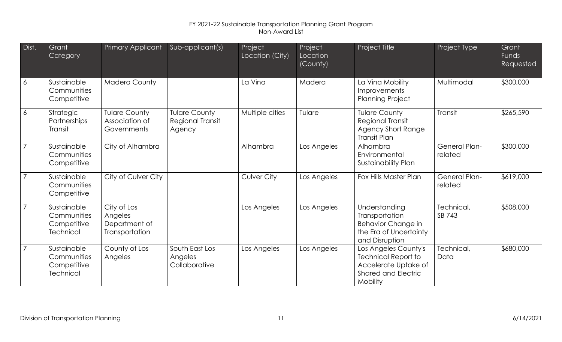| Dist.          | Grant<br>Category                                             | Primary Applicant                                         | Sub-applicant(s)                                   | Project<br>Location (City) | Project<br>Location<br>(County) | Project Title                                                                                                        | Project Type                    | Grant<br><b>Funds</b><br>Requested |
|----------------|---------------------------------------------------------------|-----------------------------------------------------------|----------------------------------------------------|----------------------------|---------------------------------|----------------------------------------------------------------------------------------------------------------------|---------------------------------|------------------------------------|
| $\overline{6}$ | Sustainable<br>Communities<br>Competitive                     | <b>Madera County</b>                                      |                                                    | La Vina                    | Madera                          | La Vina Mobility<br><b>Improvements</b><br><b>Planning Project</b>                                                   | Multimodal                      | \$300,000                          |
| $\overline{6}$ | Strategic<br>Partnerships<br><b>Transit</b>                   | <b>Tulare County</b><br>Association of<br>Governments     | <b>Tulare County</b><br>Regional Transit<br>Agency | Multiple cities            | Tulare                          | <b>Tulare County</b><br>Regional Transit<br><b>Agency Short Range</b><br><b>Transit Plan</b>                         | <b>Transit</b>                  | \$265,590                          |
| $\overline{7}$ | Sustainable<br>Communities<br>Competitive                     | City of Alhambra                                          |                                                    | Alhambra                   | Los Angeles                     | Alhambra<br>Environmental<br>Sustainability Plan                                                                     | <b>General Plan-</b><br>related | \$300,000                          |
| $\overline{7}$ | Sustainable<br>Communities<br>Competitive                     | City of Culver City                                       |                                                    | Culver City                | Los Angeles                     | Fox Hills Master Plan                                                                                                | <b>General Plan-</b><br>related | \$619,000                          |
| $\overline{7}$ | Sustainable<br>Communities<br>Competitive<br><b>Technical</b> | City of Los<br>Angeles<br>Department of<br>Transportation |                                                    | Los Angeles                | Los Angeles                     | Understanding<br>Transportation<br>Behavior Change in<br>the Era of Uncertainty<br>and Disruption                    | Technical,<br>SB 743            | \$508,000                          |
| $\overline{7}$ | Sustainable<br>Communities<br>Competitive<br><b>Technical</b> | County of Los<br>Angeles                                  | South East Los<br>Angeles<br>Collaborative         | Los Angeles                | Los Angeles                     | Los Angeles County's<br><b>Technical Report to</b><br>Accelerate Uptake of<br><b>Shared and Electric</b><br>Mobility | Technical,<br>Data              | \$680,000                          |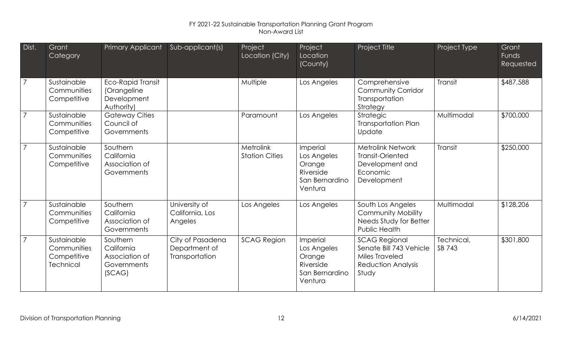| Dist.          | Grant<br>Category                                             | Primary Applicant                                                    | Sub-applicant(s)                                    | Project<br>Location (City)         | Project<br>Location<br>(County)                                             | Project Title                                                                                                  | Project Type         | Grant<br>Funds<br>Requested |
|----------------|---------------------------------------------------------------|----------------------------------------------------------------------|-----------------------------------------------------|------------------------------------|-----------------------------------------------------------------------------|----------------------------------------------------------------------------------------------------------------|----------------------|-----------------------------|
| $\overline{7}$ | Sustainable<br>Communities<br>Competitive                     | <b>Eco-Rapid Transit</b><br>(Orangeline<br>Development<br>Authority) |                                                     | Multiple                           | Los Angeles                                                                 | Comprehensive<br><b>Community Corridor</b><br>Transportation<br>Strategy                                       | Transit              | \$487,588                   |
| $\overline{7}$ | Sustainable<br>Communities<br>Competitive                     | <b>Gateway Cities</b><br>Council of<br>Governments                   |                                                     | Paramount                          | Los Angeles                                                                 | Strategic<br><b>Transportation Plan</b><br>Update                                                              | Multimodal           | \$700,000                   |
| $\overline{7}$ | Sustainable<br>Communities<br>Competitive                     | Southern<br>California<br>Association of<br>Governments              |                                                     | Metrolink<br><b>Station Cities</b> | Imperial<br>Los Angeles<br>Orange<br>Riverside<br>San Bernardino<br>Ventura | <b>Metrolink Network</b><br><b>Transit-Oriented</b><br>Development and<br>Economic<br>Development              | Transit              | \$250,000                   |
| $\overline{7}$ | Sustainable<br>Communities<br>Competitive                     | Southern<br>California<br>Association of<br>Governments              | University of<br>California, Los<br>Angeles         | Los Angeles                        | Los Angeles                                                                 | South Los Angeles<br><b>Community Mobility</b><br>Needs Study for Better<br>Public Health                      | Multimodal           | \$128,206                   |
| $\overline{7}$ | Sustainable<br>Communities<br>Competitive<br><b>Technical</b> | Southern<br>California<br>Association of<br>Governments<br>(SCAG)    | City of Pasadena<br>Department of<br>Transportation | <b>SCAG Region</b>                 | Imperial<br>Los Angeles<br>Orange<br>Riverside<br>San Bernardino<br>Ventura | <b>SCAG Regional</b><br>Senate Bill 743 Vehicle<br><b>Miles Traveled</b><br><b>Reduction Analysis</b><br>Study | Technical,<br>SB 743 | \$301,800                   |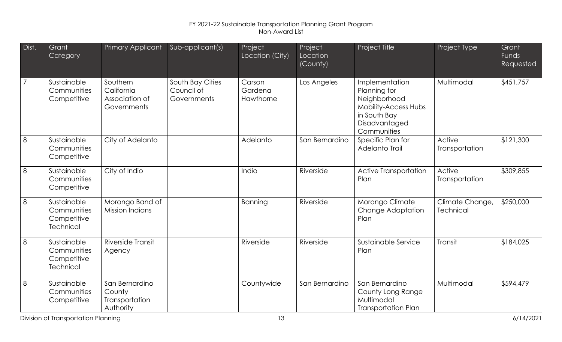| Dist.          | Grant<br>Category                                             | <b>Primary Applicant</b>                                | Sub-applicant(s)                              | Project<br>Location (City)     | Project<br>Location<br>(County) | Project Title                                                                                                          | Project Type                        | Grant<br>Funds<br>Requested |
|----------------|---------------------------------------------------------------|---------------------------------------------------------|-----------------------------------------------|--------------------------------|---------------------------------|------------------------------------------------------------------------------------------------------------------------|-------------------------------------|-----------------------------|
| $\overline{7}$ | Sustainable<br>Communities<br>Competitive                     | Southern<br>California<br>Association of<br>Governments | South Bay Cities<br>Council of<br>Governments | Carson<br>Gardena<br>Hawthorne | Los Angeles                     | Implementation<br>Planning for<br>Neighborhood<br>Mobility-Access Hubs<br>in South Bay<br>Disadvantaged<br>Communities | Multimodal                          | \$451,757                   |
| 8              | Sustainable<br><b>Communities</b><br>Competitive              | City of Adelanto                                        |                                               | Adelanto                       | San Bernardino                  | Specific Plan for<br>Adelanto Trail                                                                                    | Active<br>Transportation            | \$121,300                   |
| 8              | Sustainable<br><b>Communities</b><br>Competitive              | City of Indio                                           |                                               | Indio                          | Riverside                       | Active Transportation<br>Plan                                                                                          | Active<br>Transportation            | \$309,855                   |
| 8              | Sustainable<br>Communities<br>Competitive<br><b>Technical</b> | Morongo Band of<br><b>Mission Indians</b>               |                                               | Banning                        | Riverside                       | Morongo Climate<br>Change Adaptation<br>Plan                                                                           | Climate Change,<br><b>Technical</b> | \$250,000                   |
| 8              | Sustainable<br>Communities<br>Competitive<br><b>Technical</b> | Riverside Transit<br>Agency                             |                                               | Riverside                      | Riverside                       | Sustainable Service<br>Plan                                                                                            | Transit                             | \$184,025                   |
| 8              | Sustainable<br>Communities<br>Competitive                     | San Bernardino<br>County<br>Transportation<br>Authority |                                               | Countywide                     | San Bernardino                  | San Bernardino<br>County Long Range<br>Multimodal<br><b>Transportation Plan</b>                                        | Multimodal                          | \$594,479                   |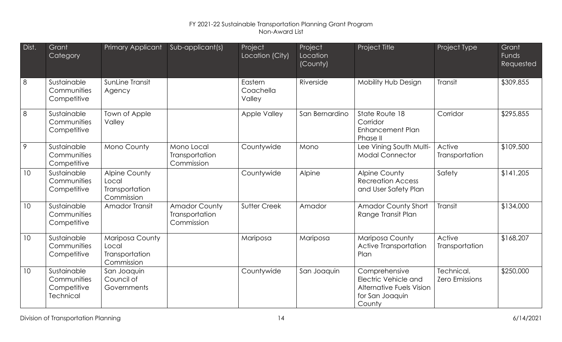| Dist. | Grant<br>Category                                             | Primary Applicant                                             | Sub-applicant(s)                                     | Project<br>Location (City)     | Project<br>Location<br>(County) | Project Title                                                                                         | Project Type                        | Grant<br>Funds<br>Requested |
|-------|---------------------------------------------------------------|---------------------------------------------------------------|------------------------------------------------------|--------------------------------|---------------------------------|-------------------------------------------------------------------------------------------------------|-------------------------------------|-----------------------------|
| 8     | Sustainable<br>Communities<br>Competitive                     | SunLine Transit<br>Agency                                     |                                                      | Eastern<br>Coachella<br>Valley | Riverside                       | Mobility Hub Design                                                                                   | Transit                             | \$309,855                   |
| 8     | Sustainable<br>Communities<br>Competitive                     | Town of Apple<br>Valley                                       |                                                      | <b>Apple Valley</b>            | San Bernardino                  | State Route 18<br>Corridor<br>Enhancement Plan<br>Phase II                                            | Corridor                            | \$295,855                   |
| 9     | Sustainable<br>Communities<br>Competitive                     | Mono County                                                   | Mono Local<br>Transportation<br>Commission           | Countywide                     | Mono                            | Lee Vining South Multi-<br><b>Modal Connector</b>                                                     | Active<br>Transportation            | \$109,500                   |
| 10    | Sustainable<br>Communities<br>Competitive                     | <b>Alpine County</b><br>Local<br>Transportation<br>Commission |                                                      | Countywide                     | Alpine                          | <b>Alpine County</b><br><b>Recreation Access</b><br>and User Safety Plan                              | Safety                              | \$141,205                   |
| 10    | Sustainable<br><b>Communities</b><br>Competitive              | Amador Transit                                                | <b>Amador County</b><br>Transportation<br>Commission | Sutter Creek                   | Amador                          | <b>Amador County Short</b><br>Range Transit Plan                                                      | Transit                             | \$134,000                   |
| 10    | Sustainable<br>Communities<br>Competitive                     | Mariposa County<br>Local<br>Transportation<br>Commission      |                                                      | Mariposa                       | Mariposa                        | Mariposa County<br><b>Active Transportation</b><br>Plan                                               | Active<br>Transportation            | \$168,207                   |
| 10    | Sustainable<br>Communities<br>Competitive<br><b>Technical</b> | San Joaquin<br>Council of<br>Governments                      |                                                      | Countywide                     | San Joaquin                     | Comprehensive<br>Electric Vehicle and<br><b>Alternative Fuels Vision</b><br>for San Joaquin<br>County | Technical,<br><b>Zero Emissions</b> | \$250,000                   |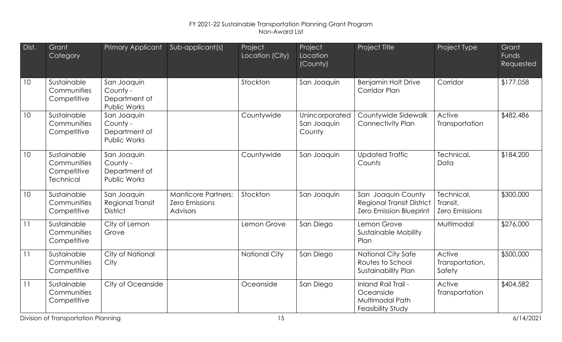| Dist. | Grant<br>Category                                             | Primary Applicant                                               | Sub-applicant(s)                                                | Project<br>Location (City) | Project<br>Location<br>(County)         | Project Title                                                                     | Project Type                                    | Grant<br>Funds<br>Requested |
|-------|---------------------------------------------------------------|-----------------------------------------------------------------|-----------------------------------------------------------------|----------------------------|-----------------------------------------|-----------------------------------------------------------------------------------|-------------------------------------------------|-----------------------------|
| 10    | Sustainable<br>Communities<br>Competitive                     | San Joaquin<br>County -<br>Department of<br>Public Works        |                                                                 | Stockton                   | San Joaquin                             | <b>Benjamin Holt Drive</b><br><b>Corridor Plan</b>                                | Corridor                                        | \$177,058                   |
| 10    | Sustainable<br>Communities<br>Competitive                     | San Joaquin<br>County -<br>Department of<br>Public Works        |                                                                 | Countywide                 | Unincorporated<br>San Joaquin<br>County | Countywide Sidewalk<br><b>Connectivity Plan</b>                                   | Active<br>Transportation                        | \$482,486                   |
| 10    | Sustainable<br>Communities<br>Competitive<br><b>Technical</b> | San Joaquin<br>County -<br>Department of<br><b>Public Works</b> |                                                                 | Countywide                 | San Joaquin                             | <b>Updated Traffic</b><br>Counts                                                  | Technical,<br>Data                              | \$184,200                   |
| 10    | Sustainable<br>Communities<br>Competitive                     | San Joaquin<br><b>Regional Transit</b><br><b>District</b>       | <b>Manticore Partners;</b><br><b>Zero Emissions</b><br>Advisors | Stockton                   | San Joaquin                             | San Joaquin County<br><b>Regional Transit District</b><br>Zero Emission Blueprint | Technical,<br>Transit,<br><b>Zero Emissions</b> | \$300,000                   |
| 11    | Sustainable<br>Communities<br>Competitive                     | City of Lemon<br>Grove                                          |                                                                 | Lemon Grove                | San Diego                               | Lemon Grove<br><b>Sustainable Mobility</b><br>Plan                                | Multimodal                                      | \$276,000                   |
| 11    | Sustainable<br>Communities<br>Competitive                     | City of National<br>City                                        |                                                                 | <b>National City</b>       | San Diego                               | <b>National City Safe</b><br>Routes to School<br>Sustainability Plan              | Active<br>Transportation,<br>Safety             | \$500,000                   |
| 11    | Sustainable<br>Communities<br>Competitive                     | City of Oceanside                                               |                                                                 | Oceanside                  | San Diego                               | Inland Rail Trail -<br>Oceanside<br>Multimodal Path<br><b>Feasibility Study</b>   | Active<br>Transportation                        | \$404,582                   |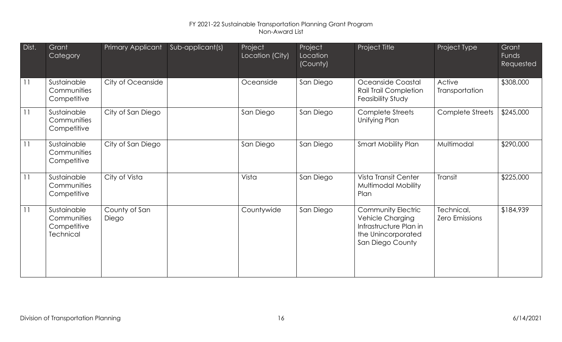| Dist.           | Grant<br>Category                                      | Primary Applicant      | Sub-applicant(s) | Project<br>Location (City) | Project<br>Location<br>$\overline{\text{(Country)}}$ | Project Title                                                                                              | Project Type                        | Grant<br><b>Funds</b><br>Requested |
|-----------------|--------------------------------------------------------|------------------------|------------------|----------------------------|------------------------------------------------------|------------------------------------------------------------------------------------------------------------|-------------------------------------|------------------------------------|
| 11              | Sustainable<br>Communities<br>Competitive              | City of Oceanside      |                  | Oceanside                  | San Diego                                            | Oceanside Coastal<br><b>Rail Trail Completion</b><br><b>Feasibility Study</b>                              | Active<br>Transportation            | \$308,000                          |
| 11              | Sustainable<br>Communities<br>Competitive              | City of San Diego      |                  | San Diego                  | San Diego                                            | Complete Streets<br>Unifying Plan                                                                          | Complete Streets                    | \$245,000                          |
| 11              | Sustainable<br>Communities<br>Competitive              | City of San Diego      |                  | San Diego                  | San Diego                                            | <b>Smart Mobility Plan</b>                                                                                 | Multimodal                          | \$290,000                          |
| $\overline{11}$ | Sustainable<br>Communities<br>Competitive              | City of Vista          |                  | Vista                      | San Diego                                            | Vista Transit Center<br>Multimodal Mobility<br>Plan                                                        | Transit                             | \$225,000                          |
| 11              | Sustainable<br>Communities<br>Competitive<br>Technical | County of San<br>Diego |                  | Countywide                 | San Diego                                            | Community Electric<br>Vehicle Charging<br>Infrastructure Plan in<br>the Unincorporated<br>San Diego County | Technical,<br><b>Zero Emissions</b> | \$184,939                          |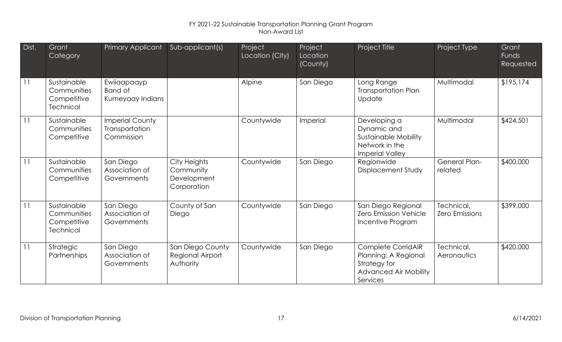| Dist.           | Grant<br>Category                                             | Primary Applicant                                      | Sub-applicant(s)                                        | Project<br>Location (City) | Project<br>Location<br>(County) | Project Title                                                                                          | Project Type                        | Grant<br>Funds<br>Requested |
|-----------------|---------------------------------------------------------------|--------------------------------------------------------|---------------------------------------------------------|----------------------------|---------------------------------|--------------------------------------------------------------------------------------------------------|-------------------------------------|-----------------------------|
| $\overline{11}$ | Sustainable<br>Communities<br>Competitive<br><b>Technical</b> | Ewiiaapaayp<br>Band of<br>Kumeyaay Indians             |                                                         | Alpine                     | San Diego                       | Long Range<br><b>Transportation Plan</b><br>Update                                                     | Multimodal                          | \$195,174                   |
| 11              | Sustainable<br>Communities<br>Competitive                     | <b>Imperial County</b><br>Transportation<br>Commission |                                                         | Countywide                 | Imperial                        | Developing a<br>Dynamic and<br><b>Sustainable Mobility</b><br>Network in the<br><b>Imperial Valley</b> | Multimodal                          | \$424,501                   |
| 11              | Sustainable<br>Communities<br>Competitive                     | San Diego<br>Association of<br>Governments             | City Heights<br>Community<br>Development<br>Corporation | Countywide                 | San Diego                       | Regionwide<br><b>Displacement Study</b>                                                                | <b>General Plan-</b><br>related     | \$400,000                   |
| 11              | Sustainable<br>Communities<br>Competitive<br><b>Technical</b> | San Diego<br>Association of<br>Governments             | County of San<br>Diego                                  | Countywide                 | San Diego                       | San Diego Regional<br><b>Zero Emission Vehicle</b><br>Incentive Program                                | Technical,<br><b>Zero Emissions</b> | \$399,000                   |
| 11              | Strategic<br>Partnerships                                     | San Diego<br>Association of<br>Governments             | San Diego County<br>Regional Airport<br>Authority       | Countywide                 | San Diego                       | Complete CorridAIR<br>Planning: A Regional<br>Strategy for<br><b>Advanced Air Mobility</b><br>Services | Technical,<br><b>Aeronautics</b>    | \$420,000                   |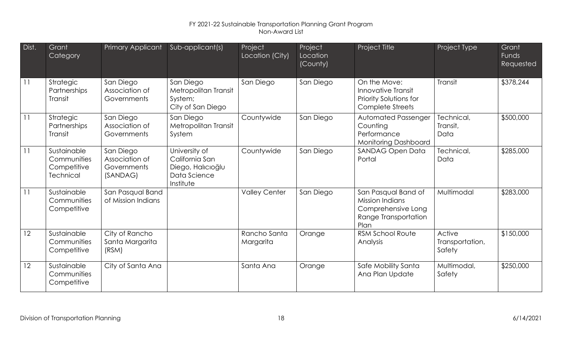| Dist. | Grant<br>Category                                             | <b>Primary Applicant</b>                               | Sub-applicant(s)                                                                  | Project<br>Location (City) | Project<br>Location<br>(County) | Project Title                                                                                       | Project Type                        | Grant<br><b>Funds</b><br>Requested |
|-------|---------------------------------------------------------------|--------------------------------------------------------|-----------------------------------------------------------------------------------|----------------------------|---------------------------------|-----------------------------------------------------------------------------------------------------|-------------------------------------|------------------------------------|
| 11    | Strategic<br>Partnerships<br>Transit                          | San Diego<br>Association of<br>Governments             | San Diego<br>Metropolitan Transit<br>System;<br>City of San Diego                 | San Diego                  | San Diego                       | On the Move:<br>Innovative Transit<br>Priority Solutions for<br><b>Complete Streets</b>             | Transit                             | \$378,244                          |
| 11    | Strategic<br>Partnerships<br>Transit                          | San Diego<br>Association of<br>Governments             | San Diego<br>Metropolitan Transit<br>System                                       | Countywide                 | San Diego                       | <b>Automated Passenger</b><br>Counting<br>Performance<br><b>Monitoring Dashboard</b>                | Technical,<br>Transit,<br>Data      | \$500,000                          |
| 11    | Sustainable<br>Communities<br>Competitive<br><b>Technical</b> | San Diego<br>Association of<br>Governments<br>(SANDAG) | University of<br>California San<br>Diego, Halıcıoğlu<br>Data Science<br>Institute | Countywide                 | San Diego                       | <b>SANDAG Open Data</b><br>Portal                                                                   | Technical,<br>Data                  | \$285,000                          |
| 11    | Sustainable<br>Communities<br>Competitive                     | San Pasqual Band<br>of Mission Indians                 |                                                                                   | <b>Valley Center</b>       | San Diego                       | San Pasqual Band of<br><b>Mission Indians</b><br>Comprehensive Long<br>Range Transportation<br>Plan | Multimodal                          | \$283,000                          |
| 12    | Sustainable<br>Communities<br>Competitive                     | City of Rancho<br>Santa Margarita<br>(RSM)             |                                                                                   | Rancho Santa<br>Margarita  | Orange                          | <b>RSM School Route</b><br>Analysis                                                                 | Active<br>Transportation,<br>Safety | \$150,000                          |
| 12    | Sustainable<br>Communities<br>Competitive                     | City of Santa Ana                                      |                                                                                   | Santa Ana                  | Orange                          | Safe Mobility Santa<br>Ana Plan Update                                                              | Multimodal,<br>Safety               | \$250,000                          |